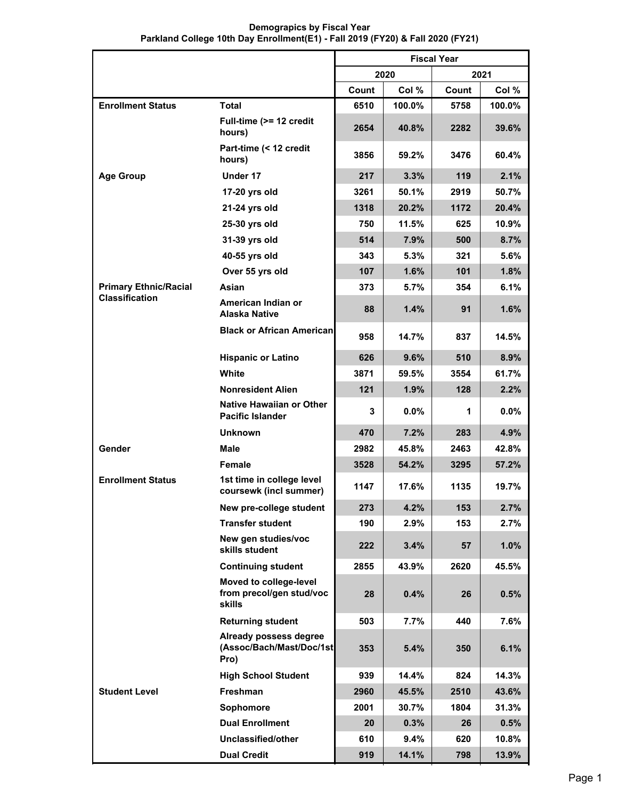|                              |                                                                     | <b>Fiscal Year</b> |         |       |          |  |
|------------------------------|---------------------------------------------------------------------|--------------------|---------|-------|----------|--|
|                              |                                                                     |                    | 2020    |       | 2021     |  |
|                              |                                                                     | Count              | Col %   | Count | Col %    |  |
| <b>Enrollment Status</b>     | <b>Total</b>                                                        | 6510               | 100.0%  | 5758  | 100.0%   |  |
|                              | Full-time (>= 12 credit<br>hours)                                   | 2654               | 40.8%   | 2282  | $39.6\%$ |  |
|                              | Part-time (< 12 credit<br>hours)                                    | 3856               | 59.2%   | 3476  | 60.4%    |  |
| <b>Age Group</b>             | Under 17                                                            | 217                | 3.3%    | 119   | 2.1%     |  |
|                              | 17-20 yrs old                                                       | 3261               | 50.1%   | 2919  | 50.7%    |  |
|                              | 21-24 yrs old                                                       | 1318               | 20.2%   | 1172  | 20.4%    |  |
|                              | 25-30 yrs old                                                       | 750                | 11.5%   | 625   | 10.9%    |  |
|                              | 31-39 yrs old                                                       | 514                | 7.9%    | 500   | 8.7%     |  |
|                              | 40-55 yrs old                                                       | 343                | 5.3%    | 321   | 5.6%     |  |
|                              | Over 55 yrs old                                                     | 107                | 1.6%    | 101   | 1.8%     |  |
| <b>Primary Ethnic/Racial</b> | Asian                                                               | 373                | 5.7%    | 354   | 6.1%     |  |
| <b>Classification</b>        | American Indian or<br>Alaska Native                                 | 88                 | 1.4%    | 91    | 1.6%     |  |
|                              | <b>Black or African American</b>                                    | 958                | 14.7%   | 837   | 14.5%    |  |
|                              | <b>Hispanic or Latino</b>                                           | 626                | 9.6%    | 510   | 8.9%     |  |
|                              | White                                                               | 3871               | 59.5%   | 3554  | 61.7%    |  |
|                              | <b>Nonresident Alien</b>                                            | 121                | 1.9%    | 128   | 2.2%     |  |
|                              | <b>Native Hawaiian or Other</b><br><b>Pacific Islander</b>          | 3                  | $0.0\%$ | 1     | $0.0\%$  |  |
|                              | <b>Unknown</b>                                                      | 470                | 7.2%    | 283   | 4.9%     |  |
| Gender                       | Male                                                                | 2982               | 45.8%   | 2463  | 42.8%    |  |
|                              | Female                                                              | 3528               | 54.2%   | 3295  | 57.2%    |  |
| <b>Enrollment Status</b>     | 1st time in college level<br>coursewk (incl summer)                 | 1147               | 17.6%   | 1135  | 19.7%    |  |
|                              | New pre-college student                                             | 273                | 4.2%    | 153   | 2.7%     |  |
|                              | <b>Transfer student</b>                                             | 190                | 2.9%    | 153   | 2.7%     |  |
|                              | New gen studies/voc<br>skills student                               | 222                | 3.4%    | 57    | 1.0%     |  |
|                              | <b>Continuing student</b>                                           | 2855               | 43.9%   | 2620  | 45.5%    |  |
|                              | Moved to college-level<br>from precol/gen stud/voc<br><b>skills</b> | 28                 | 0.4%    | 26    | 0.5%     |  |
|                              | <b>Returning student</b>                                            | 503                | 7.7%    | 440   | 7.6%     |  |
|                              | Already possess degree<br>(Assoc/Bach/Mast/Doc/1st<br>Pro)          | 353                | 5.4%    | 350   | 6.1%     |  |
|                              | <b>High School Student</b>                                          | 939                | 14.4%   | 824   | 14.3%    |  |
| <b>Student Level</b>         | Freshman                                                            | 2960               | 45.5%   | 2510  | 43.6%    |  |
|                              | Sophomore                                                           | 2001               | 30.7%   | 1804  | 31.3%    |  |
|                              | <b>Dual Enrollment</b>                                              | 20                 | 0.3%    | 26    | 0.5%     |  |
|                              | Unclassified/other                                                  | 610                | 9.4%    | 620   | 10.8%    |  |

**Dual Credit**

## **Demograpics by Fiscal Year Parkland College 10th Day Enrollment(E1) - Fall 2019 (FY20) & Fall 2020 (FY21)**

**919 14.1% 798 13.9%**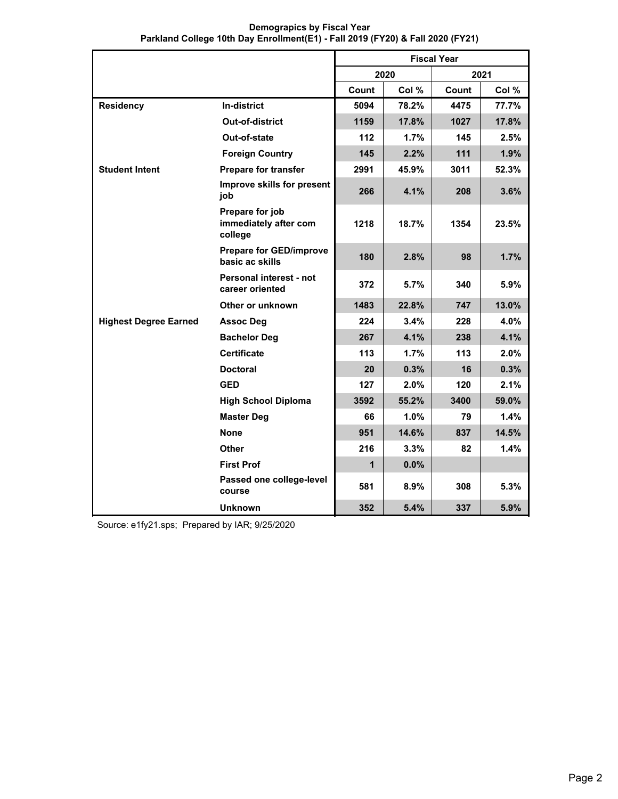|                              |                                                     | <b>Fiscal Year</b> |         |       |       |
|------------------------------|-----------------------------------------------------|--------------------|---------|-------|-------|
|                              |                                                     |                    | 2020    |       | 2021  |
|                              |                                                     | Count              | Col %   | Count | Col % |
| <b>Residency</b>             | <b>In-district</b>                                  | 5094               | 78.2%   | 4475  | 77.7% |
|                              | <b>Out-of-district</b>                              | 1159               | 17.8%   | 1027  | 17.8% |
|                              | Out-of-state                                        | 112                | 1.7%    | 145   | 2.5%  |
|                              | <b>Foreign Country</b>                              | 145                | 2.2%    | 111   | 1.9%  |
| <b>Student Intent</b>        | <b>Prepare for transfer</b>                         | 2991               | 45.9%   | 3011  | 52.3% |
|                              | Improve skills for present<br>job                   | 266                | 4.1%    | 208   | 3.6%  |
|                              | Prepare for job<br>immediately after com<br>college | 1218               | 18.7%   | 1354  | 23.5% |
|                              | <b>Prepare for GED/improve</b><br>basic ac skills   | 180                | 2.8%    | 98    | 1.7%  |
|                              | Personal interest - not<br>career oriented          | 372                | 5.7%    | 340   | 5.9%  |
|                              | Other or unknown                                    | 1483               | 22.8%   | 747   | 13.0% |
| <b>Highest Degree Earned</b> | <b>Assoc Deg</b>                                    | 224                | 3.4%    | 228   | 4.0%  |
|                              | <b>Bachelor Deg</b>                                 | 267                | 4.1%    | 238   | 4.1%  |
|                              | <b>Certificate</b>                                  | 113                | 1.7%    | 113   | 2.0%  |
|                              | <b>Doctoral</b>                                     | 20                 | 0.3%    | 16    | 0.3%  |
|                              | <b>GED</b>                                          | 127                | $2.0\%$ | 120   | 2.1%  |
|                              | <b>High School Diploma</b>                          | 3592               | 55.2%   | 3400  | 59.0% |
|                              | <b>Master Deg</b>                                   | 66                 | $1.0\%$ | 79    | 1.4%  |
|                              | <b>None</b>                                         | 951                | 14.6%   | 837   | 14.5% |
|                              | Other                                               | 216                | 3.3%    | 82    | 1.4%  |
|                              | <b>First Prof</b>                                   | $\mathbf{1}$       | 0.0%    |       |       |
|                              | Passed one college-level<br>course                  | 581                | 8.9%    | 308   | 5.3%  |
|                              | <b>Unknown</b>                                      | 352                | 5.4%    | 337   | 5.9%  |

**Demograpics by Fiscal Year Parkland College 10th Day Enrollment(E1) - Fall 2019 (FY20) & Fall 2020 (FY21)**

Source: e1fy21.sps; Prepared by IAR; 9/25/2020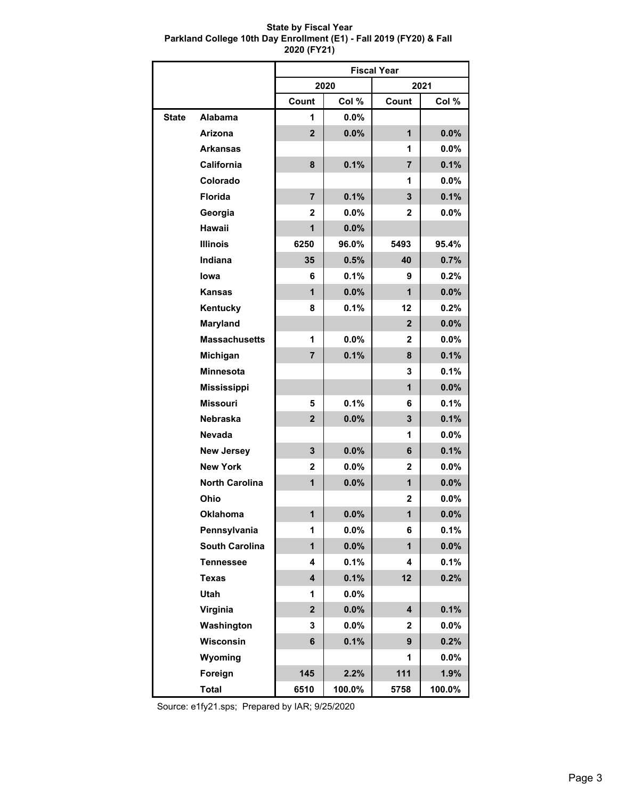## **State by Fiscal Year Parkland College 10th Day Enrollment (E1) - Fall 2019 (FY20) & Fall 2020 (FY21)**

|              |                       | <b>Fiscal Year</b>      |         |                |         |  |
|--------------|-----------------------|-------------------------|---------|----------------|---------|--|
|              |                       |                         | 2020    |                | 2021    |  |
|              |                       | Count                   | Col %   | Count          | Col %   |  |
| <b>State</b> | <b>Alabama</b>        | 1                       | 0.0%    |                |         |  |
|              | Arizona               | $\overline{2}$          | 0.0%    | $\mathbf{1}$   | 0.0%    |  |
|              | <b>Arkansas</b>       |                         |         | 1              | $0.0\%$ |  |
|              | California            | 8                       | 0.1%    | $\overline{7}$ | 0.1%    |  |
|              | Colorado              |                         |         | 1              | $0.0\%$ |  |
|              | Florida               | $\overline{7}$          | 0.1%    | 3              | 0.1%    |  |
|              | Georgia               | 2                       | 0.0%    | 2              | $0.0\%$ |  |
|              | Hawaii                | $\mathbf{1}$            | 0.0%    |                |         |  |
|              | <b>Illinois</b>       | 6250                    | 96.0%   | 5493           | 95.4%   |  |
|              | Indiana               | 35                      | 0.5%    | 40             | 0.7%    |  |
|              | lowa                  | 6                       | 0.1%    | 9              | 0.2%    |  |
|              | <b>Kansas</b>         | $\mathbf{1}$            | 0.0%    | 1              | 0.0%    |  |
|              | Kentucky              | 8                       | 0.1%    | 12             | 0.2%    |  |
|              | <b>Maryland</b>       |                         |         | $\overline{2}$ | 0.0%    |  |
|              | <b>Massachusetts</b>  | 1                       | $0.0\%$ | 2              | $0.0\%$ |  |
|              | Michigan              | 7                       | 0.1%    | 8              | 0.1%    |  |
|              | <b>Minnesota</b>      |                         |         | 3              | 0.1%    |  |
|              | <b>Mississippi</b>    |                         |         | $\mathbf{1}$   | 0.0%    |  |
|              | <b>Missouri</b>       | 5                       | 0.1%    | 6              | 0.1%    |  |
|              | <b>Nebraska</b>       | $\overline{2}$          | 0.0%    | 3              | 0.1%    |  |
|              | <b>Nevada</b>         |                         |         | 1              | $0.0\%$ |  |
|              | <b>New Jersey</b>     | 3                       | 0.0%    | 6              | 0.1%    |  |
|              | <b>New York</b>       | 2                       | 0.0%    | 2              | $0.0\%$ |  |
|              | <b>North Carolina</b> | $\mathbf{1}$            | 0.0%    | $\mathbf{1}$   | 0.0%    |  |
|              | Ohio                  |                         |         | 2              | $0.0\%$ |  |
|              | <b>Oklahoma</b>       | $\mathbf{1}$            | $0.0\%$ | 1              | 0.0%    |  |
|              | Pennsylvania          | 1                       | 0.0%    | 6              | 0.1%    |  |
|              | <b>South Carolina</b> | $\mathbf{1}$            | 0.0%    | $\mathbf{1}$   | $0.0\%$ |  |
|              | <b>Tennessee</b>      | 4                       | 0.1%    | 4              | 0.1%    |  |
|              | <b>Texas</b>          | $\overline{\mathbf{4}}$ | 0.1%    | 12             | 0.2%    |  |
|              | Utah                  | 1                       | 0.0%    |                |         |  |
|              | Virginia              | $\overline{2}$          | 0.0%    | 4              | 0.1%    |  |
|              | Washington            | 3                       | 0.0%    | 2              | 0.0%    |  |
|              | Wisconsin             | 6                       | 0.1%    | 9              | 0.2%    |  |
|              | Wyoming               |                         |         | 1              | $0.0\%$ |  |
|              | Foreign               | 145                     | 2.2%    | 111            | 1.9%    |  |
|              | <b>Total</b>          | 6510                    | 100.0%  | 5758           | 100.0%  |  |

Source: e1fy21.sps; Prepared by IAR; 9/25/2020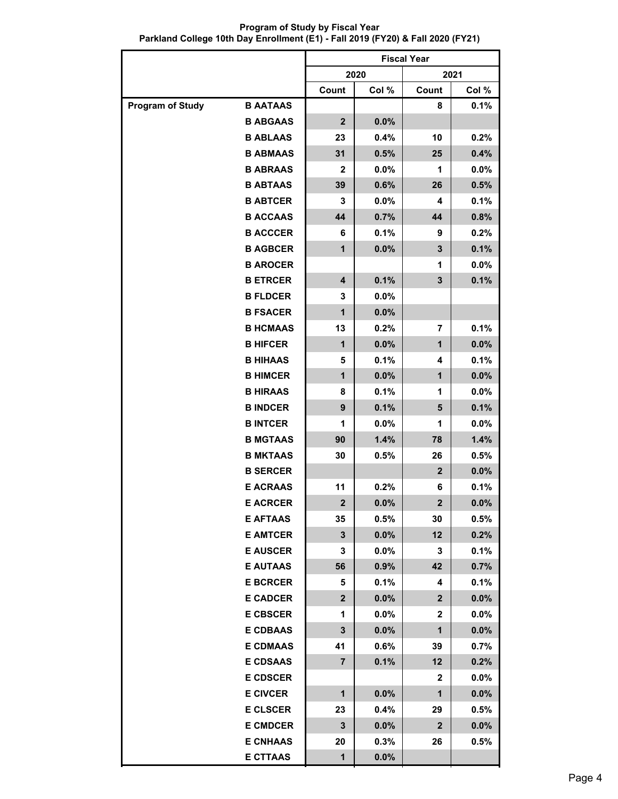**Program of Study by Fiscal Year Parkland College 10th Day Enrollment (E1) - Fall 2019 (FY20) & Fall 2020 (FY21)**

|                         |                 | <b>Fiscal Year</b> |         |                |         |  |
|-------------------------|-----------------|--------------------|---------|----------------|---------|--|
|                         |                 |                    | 2020    |                | 2021    |  |
|                         |                 | Count              | Col %   | Count          | Col %   |  |
| <b>Program of Study</b> | <b>B AATAAS</b> |                    |         | 8              | 0.1%    |  |
|                         | <b>B ABGAAS</b> | $\mathbf{2}$       | 0.0%    |                |         |  |
|                         | <b>B ABLAAS</b> | 23                 | 0.4%    | 10             | 0.2%    |  |
|                         | <b>B ABMAAS</b> | 31                 | 0.5%    | 25             | 0.4%    |  |
|                         | <b>B ABRAAS</b> | $\mathbf{2}$       | 0.0%    | 1              | 0.0%    |  |
|                         | <b>B ABTAAS</b> | 39                 | 0.6%    | 26             | 0.5%    |  |
|                         | <b>B ABTCER</b> | 3                  | 0.0%    | 4              | 0.1%    |  |
|                         | <b>B ACCAAS</b> | 44                 | 0.7%    | 44             | 0.8%    |  |
|                         | <b>B ACCCER</b> | 6                  | 0.1%    | 9              | 0.2%    |  |
|                         | <b>B AGBCER</b> | $\mathbf{1}$       | 0.0%    | 3              | 0.1%    |  |
|                         | <b>B AROCER</b> |                    |         | 1              | 0.0%    |  |
|                         | <b>B ETRCER</b> | 4                  | 0.1%    | 3              | 0.1%    |  |
|                         | <b>B FLDCER</b> | 3                  | 0.0%    |                |         |  |
|                         | <b>B FSACER</b> | 1                  | 0.0%    |                |         |  |
|                         | <b>B HCMAAS</b> | 13                 | 0.2%    | 7              | 0.1%    |  |
|                         | <b>B HIFCER</b> | 1                  | 0.0%    | 1              | 0.0%    |  |
|                         | <b>B HIHAAS</b> | 5                  | 0.1%    | 4              | 0.1%    |  |
|                         | <b>B HIMCER</b> | 1                  | 0.0%    | $\mathbf{1}$   | 0.0%    |  |
|                         | <b>B HIRAAS</b> | 8                  | 0.1%    | 1              | 0.0%    |  |
|                         | <b>B INDCER</b> | 9                  | 0.1%    | 5              | 0.1%    |  |
|                         | <b>BINTCER</b>  | 1                  | 0.0%    | 1              | 0.0%    |  |
|                         | <b>B MGTAAS</b> | 90                 | 1.4%    | 78             | 1.4%    |  |
|                         | <b>B MKTAAS</b> | 30                 | 0.5%    | 26             | 0.5%    |  |
|                         | <b>B SERCER</b> |                    |         | $\mathbf{2}$   | 0.0%    |  |
|                         | <b>E ACRAAS</b> | 11                 | 0.2%    | 6              | 0.1%    |  |
|                         | <b>E ACRCER</b> | $\mathbf 2$        | 0.0%    | $\mathbf 2$    | 0.0%    |  |
|                         | <b>E AFTAAS</b> | 35                 | 0.5%    | 30             | 0.5%    |  |
|                         | <b>E AMTCER</b> | 3                  | 0.0%    | 12             | 0.2%    |  |
|                         | <b>E AUSCER</b> | 3                  | $0.0\%$ | 3              | 0.1%    |  |
|                         | <b>E AUTAAS</b> | 56                 | 0.9%    | 42             | 0.7%    |  |
|                         | <b>E BCRCER</b> | 5                  | 0.1%    | 4              | 0.1%    |  |
|                         | <b>E CADCER</b> | $\mathbf{2}$       | $0.0\%$ | $\mathbf{2}$   | $0.0\%$ |  |
|                         | <b>E CBSCER</b> | 1                  | $0.0\%$ | $\mathbf 2$    | $0.0\%$ |  |
|                         | <b>E CDBAAS</b> | 3                  | 0.0%    | $\mathbf 1$    | 0.0%    |  |
|                         | <b>E CDMAAS</b> | 41                 | 0.6%    | 39             | 0.7%    |  |
|                         | <b>E CDSAAS</b> | $\overline{7}$     | 0.1%    | 12             | 0.2%    |  |
|                         | <b>E CDSCER</b> |                    |         | $\mathbf{2}$   | $0.0\%$ |  |
|                         | <b>E CIVCER</b> | $\mathbf 1$        | $0.0\%$ | $\mathbf 1$    | 0.0%    |  |
|                         | <b>E CLSCER</b> | 23                 | 0.4%    | 29             | 0.5%    |  |
|                         | <b>E CMDCER</b> | $\mathbf{3}$       | $0.0\%$ | $\overline{2}$ | 0.0%    |  |
|                         | <b>E CNHAAS</b> | 20                 | 0.3%    | 26             | 0.5%    |  |
|                         | <b>E CTTAAS</b> | $\mathbf{1}$       | 0.0%    |                |         |  |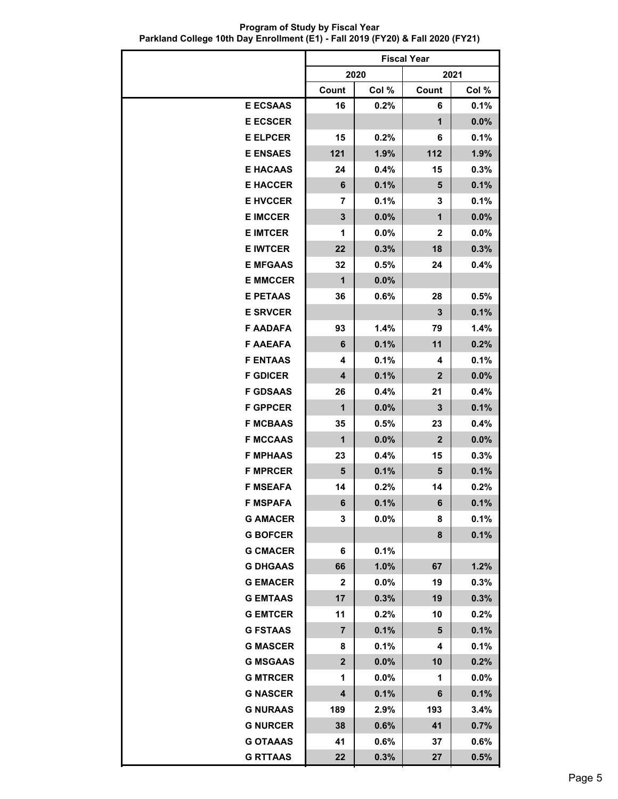**Program of Study by Fiscal Year Parkland College 10th Day Enrollment (E1) - Fall 2019 (FY20) & Fall 2020 (FY21)**

|                 | <b>Fiscal Year</b>      |         |                  |         |  |
|-----------------|-------------------------|---------|------------------|---------|--|
|                 |                         | 2020    | 2021             |         |  |
|                 | Count                   | Col %   | Count            | Col %   |  |
| <b>E ECSAAS</b> | 16                      | 0.2%    | 6                | 0.1%    |  |
| <b>E ECSCER</b> |                         |         | 1                | 0.0%    |  |
| <b>E ELPCER</b> | 15                      | 0.2%    | 6                | 0.1%    |  |
| <b>E ENSAES</b> | 121                     | 1.9%    | 112              | 1.9%    |  |
| <b>E HACAAS</b> | 24                      | 0.4%    | 15               | 0.3%    |  |
| <b>E HACCER</b> | 6                       | 0.1%    | 5                | 0.1%    |  |
| <b>E HVCCER</b> | 7                       | 0.1%    | 3                | 0.1%    |  |
| <b>E IMCCER</b> | 3                       | 0.0%    | $\mathbf{1}$     | 0.0%    |  |
| <b>E IMTCER</b> | 1                       | $0.0\%$ | $\mathbf{2}$     | $0.0\%$ |  |
| <b>E IWTCER</b> | 22                      | 0.3%    | 18               | 0.3%    |  |
| <b>E MFGAAS</b> | 32                      | 0.5%    | 24               | 0.4%    |  |
| <b>E MMCCER</b> | $\mathbf{1}$            | 0.0%    |                  |         |  |
| <b>E PETAAS</b> | 36                      | 0.6%    | 28               | 0.5%    |  |
| <b>E SRVCER</b> |                         |         | 3                | 0.1%    |  |
| <b>F AADAFA</b> | 93                      | 1.4%    | 79               | 1.4%    |  |
| <b>F AAEAFA</b> | 6                       | 0.1%    | 11               | 0.2%    |  |
| <b>F ENTAAS</b> | 4                       | 0.1%    | 4                | 0.1%    |  |
| <b>F GDICER</b> | 4                       | 0.1%    | $\mathbf{2}$     | 0.0%    |  |
| <b>F GDSAAS</b> | 26                      | 0.4%    | 21               | 0.4%    |  |
| <b>F GPPCER</b> | $\mathbf{1}$            | 0.0%    | $\mathbf{3}$     | 0.1%    |  |
| <b>F MCBAAS</b> | 35                      | 0.5%    | 23               | 0.4%    |  |
| <b>F MCCAAS</b> | $\mathbf{1}$            | 0.0%    | $\boldsymbol{2}$ | 0.0%    |  |
| <b>F MPHAAS</b> | 23                      | 0.4%    | 15               | 0.3%    |  |
| <b>F MPRCER</b> | 5                       | 0.1%    | 5                | 0.1%    |  |
| <b>F MSEAFA</b> | 14                      | 0.2%    | 14               | 0.2%    |  |
| <b>F MSPAFA</b> | 6                       | 0.1%    | 6                | 0.1%    |  |
| <b>G AMACER</b> | 3                       | $0.0\%$ | 8                | 0.1%    |  |
| <b>G BOFCER</b> |                         |         | 8                | 0.1%    |  |
| <b>G CMACER</b> | 6                       | 0.1%    |                  |         |  |
| <b>G DHGAAS</b> | 66                      | 1.0%    | 67               | 1.2%    |  |
| <b>G EMACER</b> | $\mathbf{2}$            | $0.0\%$ | 19               | 0.3%    |  |
| <b>G EMTAAS</b> | 17                      | 0.3%    | 19               | 0.3%    |  |
| <b>G EMTCER</b> | 11                      | $0.2\%$ | 10               | 0.2%    |  |
| <b>G FSTAAS</b> | $\overline{7}$          | 0.1%    | 5                | 0.1%    |  |
| <b>G MASCER</b> | 8                       | 0.1%    | 4                | 0.1%    |  |
| <b>G MSGAAS</b> | $\overline{\mathbf{2}}$ | $0.0\%$ | 10               | 0.2%    |  |
| <b>G MTRCER</b> | 1                       | $0.0\%$ | 1                | $0.0\%$ |  |
| <b>G NASCER</b> | 4                       | 0.1%    | 6                | 0.1%    |  |
| <b>G NURAAS</b> | 189                     | $2.9\%$ | 193              | 3.4%    |  |
| <b>G NURCER</b> | 38                      | 0.6%    | 41               | 0.7%    |  |
| <b>G OTAAAS</b> | 41                      | $0.6\%$ | 37               | 0.6%    |  |
| <b>G RTTAAS</b> | 22                      | 0.3%    | 27               | 0.5%    |  |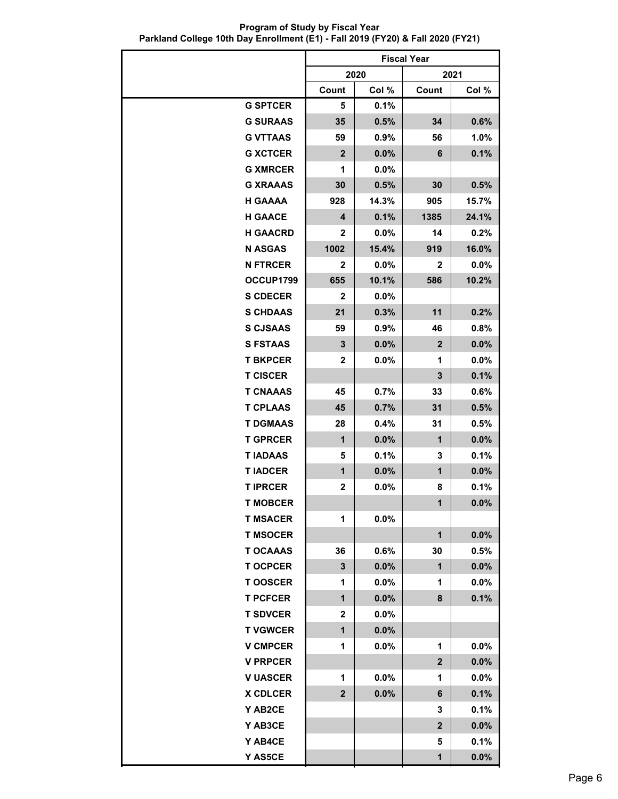**Program of Study by Fiscal Year Parkland College 10th Day Enrollment (E1) - Fall 2019 (FY20) & Fall 2020 (FY21)**

|                 | <b>Fiscal Year</b> |         |                |         |  |
|-----------------|--------------------|---------|----------------|---------|--|
|                 |                    | 2020    |                | 2021    |  |
|                 | Count              | Col %   | Count          | Col %   |  |
| <b>G SPTCER</b> | 5                  | 0.1%    |                |         |  |
| <b>G SURAAS</b> | 35                 | 0.5%    | 34             | 0.6%    |  |
| <b>G VTTAAS</b> | 59                 | $0.9\%$ | 56             | 1.0%    |  |
| <b>G XCTCER</b> | $\mathbf{2}$       | 0.0%    | 6              | 0.1%    |  |
| <b>G XMRCER</b> | 1                  | $0.0\%$ |                |         |  |
| <b>G XRAAAS</b> | 30                 | 0.5%    | 30             | 0.5%    |  |
| <b>H GAAAA</b>  | 928                | 14.3%   | 905            | 15.7%   |  |
| <b>H GAACE</b>  | 4                  | 0.1%    | 1385           | 24.1%   |  |
| <b>H GAACRD</b> | $\mathbf{2}$       | 0.0%    | 14             | $0.2\%$ |  |
| <b>N ASGAS</b>  | 1002               | 15.4%   | 919            | 16.0%   |  |
| <b>N FTRCER</b> | 2                  | $0.0\%$ | $\mathbf{2}$   | 0.0%    |  |
| OCCUP1799       | 655                | 10.1%   | 586            | 10.2%   |  |
| <b>S CDECER</b> | $\mathbf{2}$       | $0.0\%$ |                |         |  |
| <b>S CHDAAS</b> | 21                 | 0.3%    | 11             | 0.2%    |  |
| <b>S CJSAAS</b> | 59                 | $0.9\%$ | 46             | 0.8%    |  |
| <b>S FSTAAS</b> | 3                  | 0.0%    | $\mathbf{2}$   | 0.0%    |  |
| <b>T BKPCER</b> | $\mathbf{2}$       | $0.0\%$ | 1              | 0.0%    |  |
| <b>T CISCER</b> |                    |         | 3              | 0.1%    |  |
| <b>T CNAAAS</b> | 45                 | $0.7\%$ | 33             | 0.6%    |  |
| <b>T CPLAAS</b> | 45                 | 0.7%    | 31             | 0.5%    |  |
| <b>T DGMAAS</b> | 28                 | 0.4%    | 31             | 0.5%    |  |
| <b>T GPRCER</b> | $\mathbf{1}$       | 0.0%    | $\mathbf{1}$   | 0.0%    |  |
| <b>TIADAAS</b>  | 5                  | 0.1%    | 3              | 0.1%    |  |
| <b>TIADCER</b>  | 1                  | 0.0%    | $\mathbf 1$    | 0.0%    |  |
| <b>T IPRCER</b> | 2                  | $0.0\%$ | 8              | 0.1%    |  |
| <b>T MORCFR</b> |                    |         | $\mathbf{1}$   | $0.0\%$ |  |
| <b>T MSACER</b> | 1                  | $0.0\%$ |                |         |  |
| <b>T MSOCER</b> |                    |         | $\mathbf{1}$   | 0.0%    |  |
| <b>T OCAAAS</b> | 36                 | 0.6%    | 30             | 0.5%    |  |
| <b>TOCPCER</b>  | 3                  | $0.0\%$ | $\mathbf{1}$   | 0.0%    |  |
| <b>TOOSCER</b>  | 1                  | $0.0\%$ | 1              | 0.0%    |  |
| <b>T PCFCER</b> | 1                  | $0.0\%$ | 8              | 0.1%    |  |
| <b>T SDVCER</b> | 2                  | $0.0\%$ |                |         |  |
| <b>T VGWCER</b> | $\mathbf 1$        | 0.0%    |                |         |  |
| <b>V CMPCER</b> | 1                  | $0.0\%$ | 1              | $0.0\%$ |  |
| <b>V PRPCER</b> |                    |         | $\overline{2}$ | 0.0%    |  |
| <b>V UASCER</b> | 1                  | $0.0\%$ | 1              | $0.0\%$ |  |
| <b>X CDLCER</b> | $\mathbf{2}$       | 0.0%    | 6              | 0.1%    |  |
| Y AB2CE         |                    |         | 3              | 0.1%    |  |
| Y AB3CE         |                    |         | $\overline{2}$ | 0.0%    |  |
| Y AB4CE         |                    |         | 5              | 0.1%    |  |
| Y AS5CE         |                    |         | 1              | 0.0%    |  |
|                 |                    |         |                |         |  |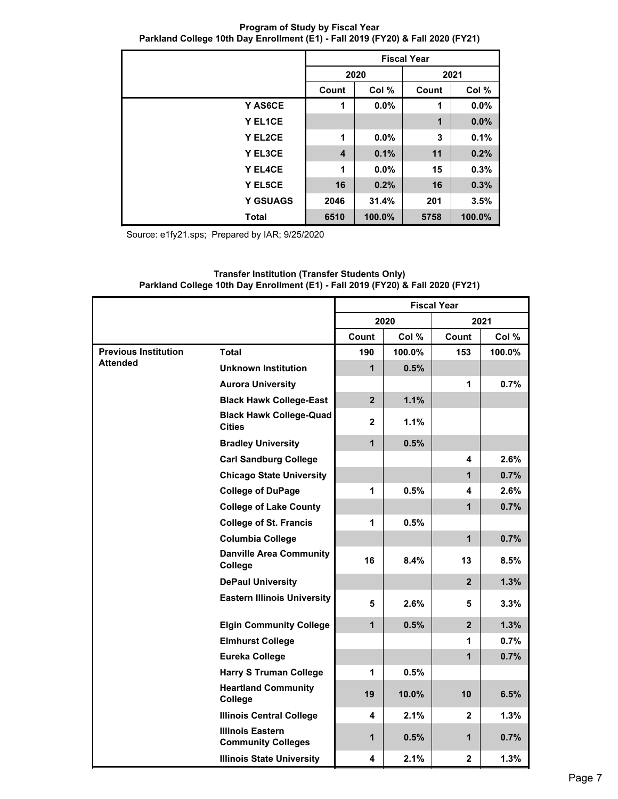**Program of Study by Fiscal Year Parkland College 10th Day Enrollment (E1) - Fall 2019 (FY20) & Fall 2020 (FY21)**

|                 | <b>Fiscal Year</b>      |         |                      |        |  |  |
|-----------------|-------------------------|---------|----------------------|--------|--|--|
|                 |                         | 2020    |                      | 2021   |  |  |
|                 | Count                   | Col %   | Count                | Col %  |  |  |
| Y AS6CE         | 1                       | 0.0%    | 1                    | 0.0%   |  |  |
| Y EL1CE         |                         |         | $\blacktriangleleft$ | 0.0%   |  |  |
| Y EL2CE         | 1                       | $0.0\%$ | 3                    | 0.1%   |  |  |
| Y EL3CE         | $\overline{\mathbf{4}}$ | 0.1%    | 11                   | 0.2%   |  |  |
| Y EL4CE         | 1                       | 0.0%    | 15                   | 0.3%   |  |  |
| Y EL5CE         | 16                      | 0.2%    | 16                   | 0.3%   |  |  |
| <b>Y GSUAGS</b> | 2046                    | 31.4%   | 201                  | 3.5%   |  |  |
| <b>Total</b>    | 6510                    | 100.0%  | 5758                 | 100.0% |  |  |

Source: e1fy21.sps; Prepared by IAR; 9/25/2020

|                             |                                                      | <b>Fiscal Year</b> |         |                |        |  |
|-----------------------------|------------------------------------------------------|--------------------|---------|----------------|--------|--|
|                             |                                                      |                    | 2020    |                | 2021   |  |
|                             |                                                      | Count              | Col %   | Count          | Col %  |  |
| <b>Previous Institution</b> | <b>Total</b>                                         | 190                | 100.0%  | 153            | 100.0% |  |
| <b>Attended</b>             | Unknown Institution                                  | $\mathbf 1$        | 0.5%    |                |        |  |
|                             | <b>Aurora University</b>                             |                    |         | $\mathbf{1}$   | 0.7%   |  |
|                             | <b>Black Hawk College-East</b>                       | 2 <sup>1</sup>     | 1.1%    |                |        |  |
|                             | <b>Black Hawk College-Quad</b><br><b>Cities</b>      | $\mathbf{2}$       | $1.1\%$ |                |        |  |
|                             | <b>Bradley University</b>                            | $\mathbf{1}$       | 0.5%    |                |        |  |
|                             | <b>Carl Sandburg College</b>                         |                    |         | 4              | 2.6%   |  |
|                             | <b>Chicago State University</b>                      |                    |         | $\mathbf{1}$   | 0.7%   |  |
|                             | <b>College of DuPage</b>                             | 1                  | 0.5%    | 4              | 2.6%   |  |
|                             | <b>College of Lake County</b>                        |                    |         | $\mathbf{1}$   | 0.7%   |  |
|                             | <b>College of St. Francis</b>                        | 1                  | 0.5%    |                |        |  |
|                             | <b>Columbia College</b>                              |                    |         | $\overline{1}$ | 0.7%   |  |
|                             | <b>Danville Area Community</b><br>College            | 16                 | 8.4%    | 13             | 8.5%   |  |
|                             | <b>DePaul University</b>                             |                    |         | $\overline{2}$ | 1.3%   |  |
|                             | <b>Eastern Illinois University</b>                   | 5                  | 2.6%    | 5              | 3.3%   |  |
|                             | <b>Elgin Community College</b>                       | $\mathbf{1}$       | 0.5%    | 2 <sup>2</sup> | 1.3%   |  |
|                             | <b>Elmhurst College</b>                              |                    |         | 1              | 0.7%   |  |
|                             | <b>Eureka College</b>                                |                    |         | $\mathbf{1}$   | 0.7%   |  |
|                             | <b>Harry S Truman College</b>                        | 1                  | 0.5%    |                |        |  |
|                             | <b>Heartland Community</b><br>College                | 19                 | 10.0%   | 10             | 6.5%   |  |
|                             | <b>Illinois Central College</b>                      | 4                  | 2.1%    | $\mathbf{2}$   | 1.3%   |  |
|                             | <b>Illinois Eastern</b><br><b>Community Colleges</b> | $\mathbf 1$        | 0.5%    | $\mathbf{1}$   | 0.7%   |  |
|                             | <b>Illinois State University</b>                     | 4                  | 2.1%    | $\mathbf{2}$   | 1.3%   |  |

## **Transfer Institution (Transfer Students Only) Parkland College 10th Day Enrollment (E1) - Fall 2019 (FY20) & Fall 2020 (FY21)**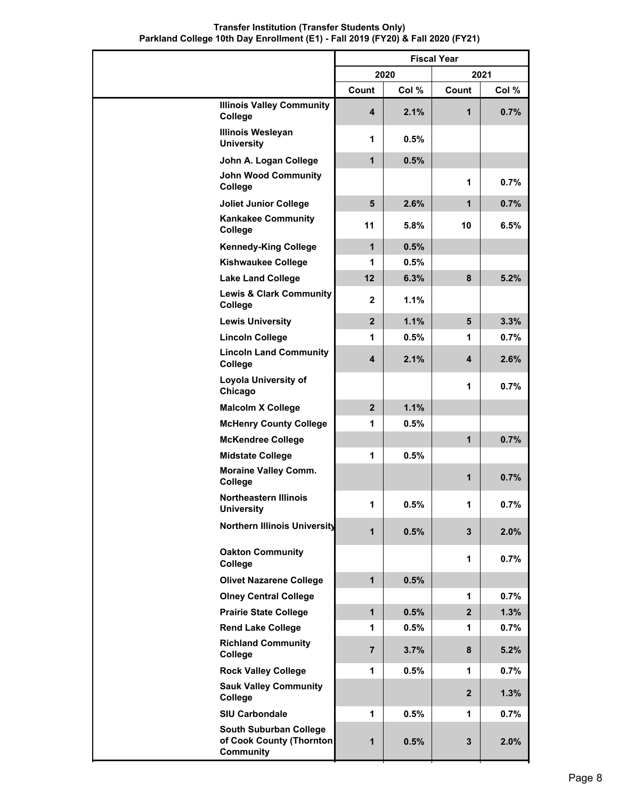|                                                                        | <b>Fiscal Year</b> |       |              |       |
|------------------------------------------------------------------------|--------------------|-------|--------------|-------|
|                                                                        |                    | 2020  |              | 2021  |
|                                                                        | Count              | Col % | Count        | Col % |
| <b>Illinois Valley Community</b><br>College                            | 4                  | 2.1%  | 1            | 0.7%  |
| <b>Illinois Wesleyan</b><br><b>University</b>                          | 1                  | 0.5%  |              |       |
| John A. Logan College                                                  | $\mathbf{1}$       | 0.5%  |              |       |
| <b>John Wood Community</b><br>College                                  |                    |       | 1            | 0.7%  |
| <b>Joliet Junior College</b>                                           | $5\phantom{1}$     | 2.6%  | $\mathbf{1}$ | 0.7%  |
| <b>Kankakee Community</b><br>College                                   | 11                 | 5.8%  | 10           | 6.5%  |
| <b>Kennedy-King College</b>                                            | $\mathbf{1}$       | 0.5%  |              |       |
| <b>Kishwaukee College</b>                                              | 1                  | 0.5%  |              |       |
| <b>Lake Land College</b>                                               | 12                 | 6.3%  | 8            | 5.2%  |
| <b>Lewis &amp; Clark Community</b><br>College                          | $\mathbf{2}$       | 1.1%  |              |       |
| <b>Lewis University</b>                                                | $\overline{2}$     | 1.1%  | 5            | 3.3%  |
| <b>Lincoln College</b>                                                 | 1                  | 0.5%  | 1            | 0.7%  |
| <b>Lincoln Land Community</b><br>College                               | 4                  | 2.1%  | 4            | 2.6%  |
| <b>Loyola University of</b><br>Chicago                                 |                    |       | $\mathbf 1$  | 0.7%  |
| <b>Malcolm X College</b>                                               | $\overline{2}$     | 1.1%  |              |       |
| <b>McHenry County College</b>                                          | 1                  | 0.5%  |              |       |
| <b>McKendree College</b>                                               |                    |       | $\mathbf 1$  | 0.7%  |
| <b>Midstate College</b>                                                | 1                  | 0.5%  |              |       |
| <b>Moraine Valley Comm.</b><br>College                                 |                    |       | 1            | 0.7%  |
| <b>Northeastern Illinois</b><br><b>University</b>                      | 1                  | 0.5%  | 1            | 0.7%  |
| <b>Northern Illinois University</b>                                    | $\mathbf 1$        | 0.5%  | 3            | 2.0%  |
| <b>Oakton Community</b><br>College                                     |                    |       | $\mathbf 1$  | 0.7%  |
| <b>Olivet Nazarene College</b>                                         | $\mathbf 1$        | 0.5%  |              |       |
| <b>Olney Central College</b>                                           |                    |       | 1            | 0.7%  |
| <b>Prairie State College</b>                                           | $\mathbf{1}$       | 0.5%  | $\mathbf{2}$ | 1.3%  |
| <b>Rend Lake College</b>                                               | 1                  | 0.5%  | 1            | 0.7%  |
| <b>Richland Community</b><br>College                                   | 7                  | 3.7%  | 8            | 5.2%  |
| <b>Rock Valley College</b>                                             | 1                  | 0.5%  | $\mathbf 1$  | 0.7%  |
| <b>Sauk Valley Community</b><br>College                                |                    |       | $\mathbf{2}$ | 1.3%  |
| <b>SIU Carbondale</b>                                                  | 1                  | 0.5%  | 1            | 0.7%  |
| South Suburban College<br>of Cook County (Thornton<br><b>Community</b> | 1                  | 0.5%  | 3            | 2.0%  |

## **Transfer Institution (Transfer Students Only) Parkland College 10th Day Enrollment (E1) - Fall 2019 (FY20) & Fall 2020 (FY21)**